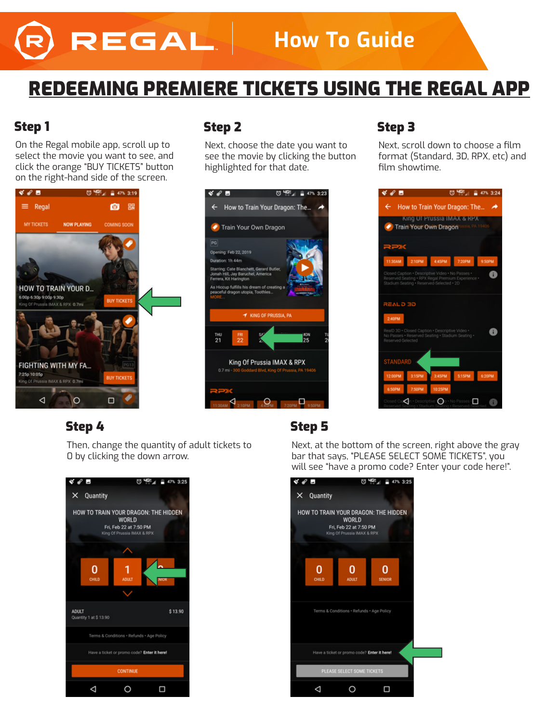# REGAL

# **How To Guide**

# REDEEMING PREMIERE TICKETS USING THE REGAL APP

### Step 1

On the Regal mobile app, scroll up to select the movie you want to see, and click the orange "BUY TICKETS" button on the right-hand side of the screen.



## Step 2

Next, choose the date you want to see the movie by clicking the button highlighted for that date.



# Step 3

Next, scroll down to choose a film format (Standard, 3D, RPX, etc) and film showtime.



### Step 4 Step 5

Then, change the quantity of adult tickets to 0 by clicking the down arrow.



Next, at the bottom of the screen, right above the gray bar that says, "PLEASE SELECT SOME TICKETS", you will see "have a promo code? Enter your code here!".

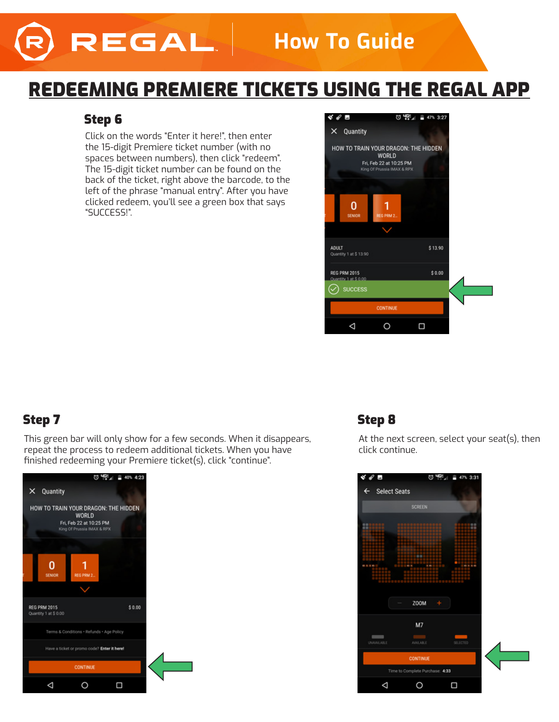# REGAL

# **How To Guide**

# REDEEMING PREMIERE TICKETS USING THE REGAL APP

### Step 6

Click on the words "Enter it here!", then enter the 15-digit Premiere ticket number (with no spaces between numbers), then click "redeem". The 15-digit ticket number can be found on the back of the ticket, right above the barcode, to the left of the phrase "manual entry". After you have clicked redeem, you'll see a green box that says "SUCCESS!".



This green bar will only show for a few seconds. When it disappears, repeat the process to redeem additional tickets. When you have finished redeeming your Premiere ticket(s), click "continue".



## Step 7 Step 8 Step 8 Step 8 Step 8 Step 8 Step 8 Step 8  $\sim$

At the next screen, select your seat(s), then click continue.